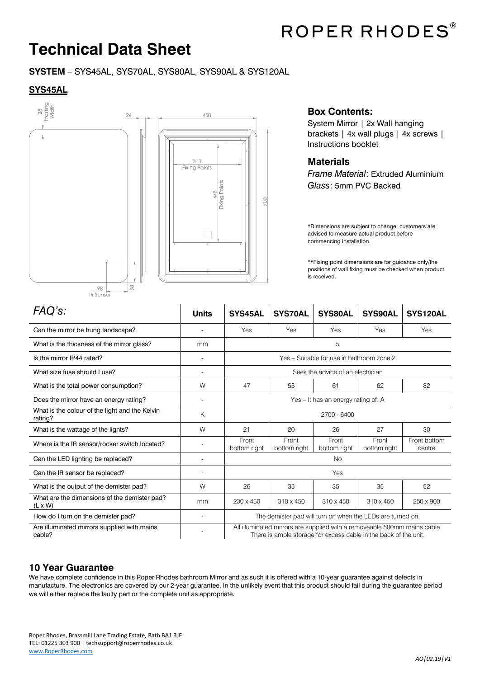

# **Technical Data Sheet**

#### **SYSTEM** – SYS45AL, SYS70AL, SYS80AL, SYS90AL & SYS120AL

#### **SYS45AL**



### **Box Contents:**

System Mirror | 2x Wall hanging brackets | 4x wall plugs | 4x screws | Instructions booklet

#### **Materials**

*Frame Material*: Extruded Aluminium *Glass*: 5mm PVC Backed

\*Dimensions are subject to change, customers are advised to measure actual product before commencing installation.

\*\*Fixing point dimensions are for guidance only/the positions of wall fixing must be checked when product is received.

| FAQ's:                                                         | <b>Units</b>                 | SYS45AL                                                                                                                                       | <b>SYS70AL</b>        | SYS80AL               | <b>SYS90AL</b>        | SYS120AL               |
|----------------------------------------------------------------|------------------------------|-----------------------------------------------------------------------------------------------------------------------------------------------|-----------------------|-----------------------|-----------------------|------------------------|
| Can the mirror be hung landscape?                              | $\overline{\phantom{a}}$     | Yes                                                                                                                                           | Yes                   | Yes                   | Yes                   | Yes                    |
| What is the thickness of the mirror glass?                     | mm                           | 5                                                                                                                                             |                       |                       |                       |                        |
| Is the mirror IP44 rated?                                      |                              | Yes - Suitable for use in bathroom zone 2                                                                                                     |                       |                       |                       |                        |
| What size fuse should I use?                                   |                              | Seek the advice of an electrician                                                                                                             |                       |                       |                       |                        |
| What is the total power consumption?                           | W                            | 47                                                                                                                                            | 55                    | 61                    | 62                    | 82                     |
| Does the mirror have an energy rating?                         | $\qquad \qquad \blacksquare$ | Yes - It has an energy rating of: A                                                                                                           |                       |                       |                       |                        |
| What is the colour of the light and the Kelvin<br>rating?      | K                            | 2700 - 6400                                                                                                                                   |                       |                       |                       |                        |
| What is the wattage of the lights?                             | W                            | 21                                                                                                                                            | 20                    | 26                    | 27                    | 30                     |
| Where is the IR sensor/rocker switch located?                  |                              | Front<br>bottom right                                                                                                                         | Front<br>bottom right | Front<br>bottom right | Front<br>bottom right | Front bottom<br>centre |
| Can the LED lighting be replaced?                              |                              | <b>No</b>                                                                                                                                     |                       |                       |                       |                        |
| Can the IR sensor be replaced?                                 |                              | Yes                                                                                                                                           |                       |                       |                       |                        |
| What is the output of the demister pad?                        | W                            | 26                                                                                                                                            | 35                    | 35                    | 35                    | 52                     |
| What are the dimensions of the demister pad?<br>$(L \times W)$ | mm                           | 230 x 450                                                                                                                                     | 310 x 450             | $310 \times 450$      | 310 x 450             | 250 x 900              |
| How do I turn on the demister pad?                             | $\overline{\phantom{a}}$     | The demister pad will turn on when the LEDs are turned on.                                                                                    |                       |                       |                       |                        |
| Are illuminated mirrors supplied with mains<br>cable?          |                              | All illuminated mirrors are supplied with a removeable 500mm mains cable.<br>There is ample storage for excess cable in the back of the unit. |                       |                       |                       |                        |

#### **10 Year Guarantee**

We have complete confidence in this Roper Rhodes bathroom Mirror and as such it is offered with a 10-year guarantee against defects in manufacture. The electronics are covered by our 2-year guarantee. In the unlikely event that this product should fail during the guarantee period we will either replace the faulty part or the complete unit as appropriate.